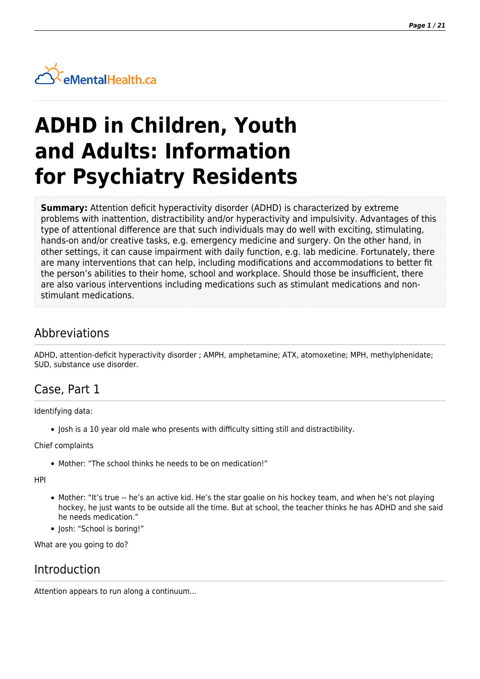

# **ADHD in Children, Youth and Adults: Information for Psychiatry Residents**

**Summary:** Attention deficit hyperactivity disorder (ADHD) is characterized by extreme problems with inattention, distractibility and/or hyperactivity and impulsivity. Advantages of this type of attentional difference are that such individuals may do well with exciting, stimulating, hands-on and/or creative tasks, e.g. emergency medicine and surgery. On the other hand, in other settings, it can cause impairment with daily function, e.g. lab medicine. Fortunately, there are many interventions that can help, including modifications and accommodations to better fit the person's abilities to their home, school and workplace. Should those be insufficient, there are also various interventions including medications such as stimulant medications and nonstimulant medications.

# Abbreviations

ADHD, attention-deficit hyperactivity disorder ; AMPH, amphetamine; ATX, atomoxetine; MPH, methylphenidate; SUD, substance use disorder.

# Case, Part 1

Identifying data:

Josh is a 10 year old male who presents with difficulty sitting still and distractibility.

Chief complaints

Mother: "The school thinks he needs to be on medication!"

HPI

- Mother: "It's true -- he's an active kid. He's the star goalie on his hockey team, and when he's not playing hockey, he just wants to be outside all the time. But at school, the teacher thinks he has ADHD and she said he needs medication."
- Josh: "School is boring!"

What are you going to do?

# Introduction

Attention appears to run along a continuum...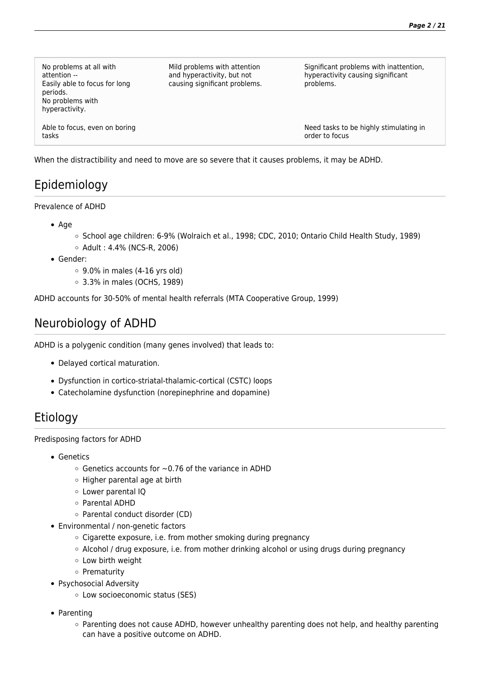| No problems at all with<br>attention --<br>Easily able to focus for long<br>periods.<br>No problems with<br>hyperactivity. | Mild problems with attention<br>and hyperactivity, but not<br>causing significant problems. | Significant problems with inattention,<br>hyperactivity causing significant<br>problems. |
|----------------------------------------------------------------------------------------------------------------------------|---------------------------------------------------------------------------------------------|------------------------------------------------------------------------------------------|
| Able to focus, even on boring<br>tasks                                                                                     |                                                                                             | Need tasks to be highly stimulating in<br>order to focus                                 |

When the distractibility and need to move are so severe that it causes problems, it may be ADHD.

# Epidemiology

#### Prevalence of ADHD

- $\bullet$  Age
	- School age children: 6-9% (Wolraich et al., 1998; CDC, 2010; Ontario Child Health Study, 1989)
	- $\circ$  Adult : 4.4% (NCS-R, 2006)
- Gender:
	- $\circ$  9.0% in males (4-16 yrs old)
	- 3.3% in males (OCHS, 1989)

ADHD accounts for 30-50% of mental health referrals (MTA Cooperative Group, 1999)

# Neurobiology of ADHD

ADHD is a polygenic condition (many genes involved) that leads to:

- Delayed cortical maturation.
- Dysfunction in cortico-striatal-thalamic-cortical (CSTC) loops
- Catecholamine dysfunction (norepinephrine and dopamine)

# Etiology

#### Predisposing factors for ADHD

- Genetics
	- $\circ$  Genetics accounts for  $\sim$  0.76 of the variance in ADHD
	- o Higher parental age at birth
	- Lower parental IQ
	- Parental ADHD
	- Parental conduct disorder (CD)
- Environmental / non-genetic factors
	- Cigarette exposure, i.e. from mother smoking during pregnancy
	- Alcohol / drug exposure, i.e. from mother drinking alcohol or using drugs during pregnancy
	- Low birth weight
	- o Prematurity
- Psychosocial Adversity
	- Low socioeconomic status (SES)
- Parenting
	- Parenting does not cause ADHD, however unhealthy parenting does not help, and healthy parenting can have a positive outcome on ADHD.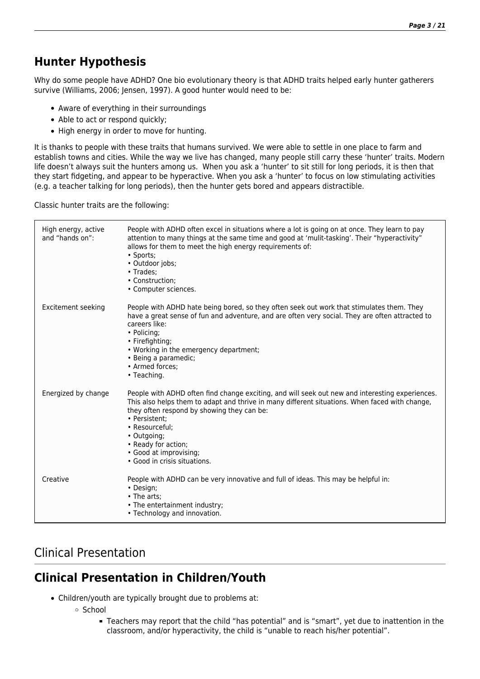# **Hunter Hypothesis**

Why do some people have ADHD? One bio evolutionary theory is that ADHD traits helped early hunter gatherers survive (Williams, 2006; Jensen, 1997). A good hunter would need to be:

- Aware of everything in their surroundings
- Able to act or respond quickly;
- High energy in order to move for hunting.

It is thanks to people with these traits that humans survived. We were able to settle in one place to farm and establish towns and cities. While the way we live has changed, many people still carry these 'hunter' traits. Modern life doesn't always suit the hunters among us. When you ask a 'hunter' to sit still for long periods, it is then that they start fidgeting, and appear to be hyperactive. When you ask a 'hunter' to focus on low stimulating activities (e.g. a teacher talking for long periods), then the hunter gets bored and appears distractible.

Classic hunter traits are the following:

| High energy, active<br>and "hands on": | People with ADHD often excel in situations where a lot is going on at once. They learn to pay<br>attention to many things at the same time and good at 'mulit-tasking'. Their "hyperactivity"<br>allows for them to meet the high energy requirements of:<br>• Sports;<br>· Outdoor jobs;<br>• Trades:<br>• Construction:<br>• Computer sciences.                                  |
|----------------------------------------|------------------------------------------------------------------------------------------------------------------------------------------------------------------------------------------------------------------------------------------------------------------------------------------------------------------------------------------------------------------------------------|
| Excitement seeking                     | People with ADHD hate being bored, so they often seek out work that stimulates them. They<br>have a great sense of fun and adventure, and are often very social. They are often attracted to<br>careers like:<br>• Policing;<br>• Firefighting;<br>• Working in the emergency department;<br>• Being a paramedic;<br>• Armed forces:<br>• Teaching.                                |
| Energized by change                    | People with ADHD often find change exciting, and will seek out new and interesting experiences.<br>This also helps them to adapt and thrive in many different situations. When faced with change,<br>they often respond by showing they can be:<br>• Persistent:<br>• Resourceful:<br>• Outgoing;<br>• Ready for action;<br>• Good at improvising;<br>• Good in crisis situations. |
| Creative                               | People with ADHD can be very innovative and full of ideas. This may be helpful in:<br>• Design;<br>• The arts;<br>• The entertainment industry;<br>• Technology and innovation.                                                                                                                                                                                                    |

# Clinical Presentation

# **Clinical Presentation in Children/Youth**

- Children/youth are typically brought due to problems at:
	- School
		- Teachers may report that the child "has potential" and is "smart", yet due to inattention in the classroom, and/or hyperactivity, the child is "unable to reach his/her potential".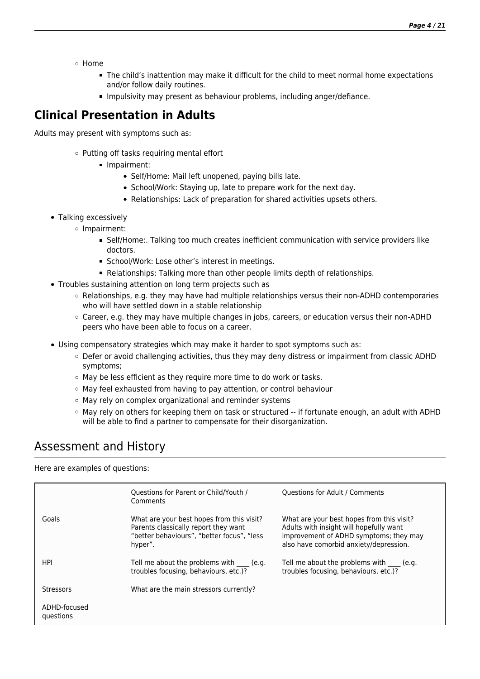*Page 4 / 21*

Home

- The child's inattention may make it difficult for the child to meet normal home expectations and/or follow daily routines.
- Impulsivity may present as behaviour problems, including anger/defiance.

#### **Clinical Presentation in Adults**

Adults may present with symptoms such as:

- o Putting off tasks requiring mental effort
	- Impairment:
		- Self/Home: Mail left unopened, paying bills late.
		- School/Work: Staying up, late to prepare work for the next day.
		- Relationships: Lack of preparation for shared activities upsets others.
- Talking excessively
	- o Impairment:
		- Self/Home:. Talking too much creates inefficient communication with service providers like doctors.
		- **School/Work: Lose other's interest in meetings.**
		- Relationships: Talking more than other people limits depth of relationships.
- Troubles sustaining attention on long term projects such as
	- $\circ$  Relationships, e.g. they may have had multiple relationships versus their non-ADHD contemporaries who will have settled down in a stable relationship
	- Career, e.g. they may have multiple changes in jobs, careers, or education versus their non-ADHD peers who have been able to focus on a career.
- Using compensatory strategies which may make it harder to spot symptoms such as:
	- o Defer or avoid challenging activities, thus they may deny distress or impairment from classic ADHD symptoms;
	- $\circ$  May be less efficient as they require more time to do work or tasks.
	- May feel exhausted from having to pay attention, or control behaviour
	- May rely on complex organizational and reminder systems
	- $\circ$  May rely on others for keeping them on task or structured -- if fortunate enough, an adult with ADHD will be able to find a partner to compensate for their disorganization.

# Assessment and History

Here are examples of questions:

|                           | Questions for Parent or Child/Youth /<br>Comments                                                                                          | <b>Ouestions for Adult / Comments</b>                                                                                                                                    |
|---------------------------|--------------------------------------------------------------------------------------------------------------------------------------------|--------------------------------------------------------------------------------------------------------------------------------------------------------------------------|
| Goals                     | What are your best hopes from this visit?<br>Parents classically report they want<br>"better behaviours", "better focus", "less<br>hyper". | What are your best hopes from this visit?<br>Adults with insight will hopefully want<br>improvement of ADHD symptoms; they may<br>also have comorbid anxiety/depression. |
| HPI                       | Tell me about the problems with (e.g.<br>troubles focusing, behaviours, etc.)?                                                             | Tell me about the problems with ____ (e.g.<br>troubles focusing, behaviours, etc.)?                                                                                      |
| <b>Stressors</b>          | What are the main stressors currently?                                                                                                     |                                                                                                                                                                          |
| ADHD-focused<br>questions |                                                                                                                                            |                                                                                                                                                                          |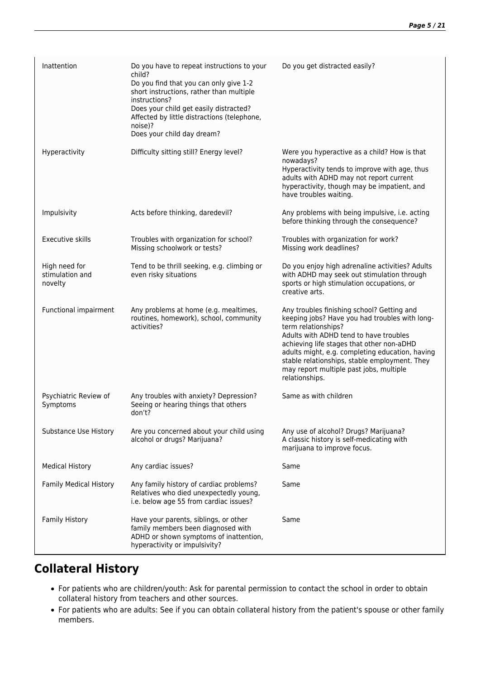| Inattention                                 | Do you have to repeat instructions to your<br>child?<br>Do you find that you can only give 1-2<br>short instructions, rather than multiple<br>instructions?<br>Does your child get easily distracted?<br>Affected by little distractions (telephone,<br>noise)?<br>Does your child day dream? | Do you get distracted easily?                                                                                                                                                                                                                                                                                                                                               |
|---------------------------------------------|-----------------------------------------------------------------------------------------------------------------------------------------------------------------------------------------------------------------------------------------------------------------------------------------------|-----------------------------------------------------------------------------------------------------------------------------------------------------------------------------------------------------------------------------------------------------------------------------------------------------------------------------------------------------------------------------|
| Hyperactivity                               | Difficulty sitting still? Energy level?                                                                                                                                                                                                                                                       | Were you hyperactive as a child? How is that<br>nowadays?<br>Hyperactivity tends to improve with age, thus<br>adults with ADHD may not report current<br>hyperactivity, though may be impatient, and<br>have troubles waiting.                                                                                                                                              |
| Impulsivity                                 | Acts before thinking, daredevil?                                                                                                                                                                                                                                                              | Any problems with being impulsive, i.e. acting<br>before thinking through the consequence?                                                                                                                                                                                                                                                                                  |
| Executive skills                            | Troubles with organization for school?<br>Missing schoolwork or tests?                                                                                                                                                                                                                        | Troubles with organization for work?<br>Missing work deadlines?                                                                                                                                                                                                                                                                                                             |
| High need for<br>stimulation and<br>novelty | Tend to be thrill seeking, e.g. climbing or<br>even risky situations                                                                                                                                                                                                                          | Do you enjoy high adrenaline activities? Adults<br>with ADHD may seek out stimulation through<br>sports or high stimulation occupations, or<br>creative arts.                                                                                                                                                                                                               |
| Functional impairment                       | Any problems at home (e.g. mealtimes,<br>routines, homework), school, community<br>activities?                                                                                                                                                                                                | Any troubles finishing school? Getting and<br>keeping jobs? Have you had troubles with long-<br>term relationships?<br>Adults with ADHD tend to have troubles<br>achieving life stages that other non-aDHD<br>adults might, e.g. completing education, having<br>stable relationships, stable employment. They<br>may report multiple past jobs, multiple<br>relationships. |
| Psychiatric Review of<br>Symptoms           | Any troubles with anxiety? Depression?<br>Seeing or hearing things that others<br>don't?                                                                                                                                                                                                      | Same as with children                                                                                                                                                                                                                                                                                                                                                       |
| Substance Use History                       | Are you concerned about your child using<br>alcohol or drugs? Marijuana?                                                                                                                                                                                                                      | Any use of alcohol? Drugs? Marijuana?<br>A classic history is self-medicating with<br>marijuana to improve focus.                                                                                                                                                                                                                                                           |
| <b>Medical History</b>                      | Any cardiac issues?                                                                                                                                                                                                                                                                           | Same                                                                                                                                                                                                                                                                                                                                                                        |
| <b>Family Medical History</b>               | Any family history of cardiac problems?<br>Relatives who died unexpectedly young,<br>i.e. below age 55 from cardiac issues?                                                                                                                                                                   | Same                                                                                                                                                                                                                                                                                                                                                                        |
| <b>Family History</b>                       | Have your parents, siblings, or other<br>family members been diagnosed with<br>ADHD or shown symptoms of inattention,<br>hyperactivity or impulsivity?                                                                                                                                        | Same                                                                                                                                                                                                                                                                                                                                                                        |

# **Collateral History**

- For patients who are children/youth: Ask for parental permission to contact the school in order to obtain collateral history from teachers and other sources.
- For patients who are adults: See if you can obtain collateral history from the patient's spouse or other family members.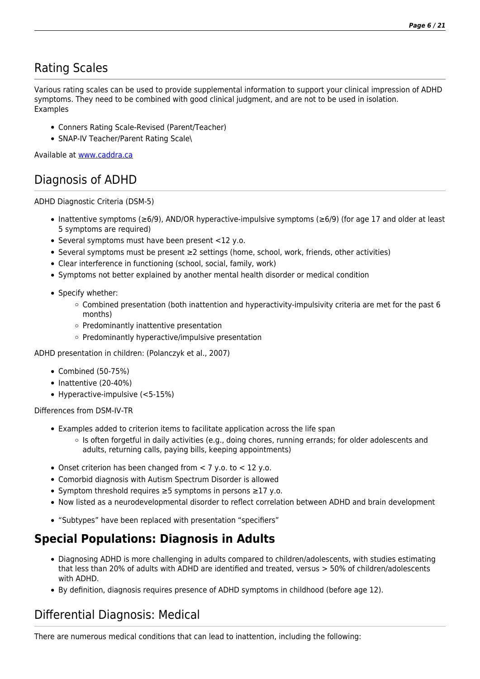# Rating Scales

Various rating scales can be used to provide supplemental information to support your clinical impression of ADHD symptoms. They need to be combined with good clinical judgment, and are not to be used in isolation. Examples

- Conners Rating Scale-Revised (Parent/Teacher)
- SNAP-IV Teacher/Parent Rating Scale\

Available at [www.caddra.ca](http://www.caddra.ca)

# Diagnosis of ADHD

ADHD Diagnostic Criteria (DSM-5)

- Inattentive symptoms (≥6/9), AND/OR hyperactive-impulsive symptoms (≥6/9) (for age 17 and older at least 5 symptoms are required)
- Several symptoms must have been present <12 y.o.
- Several symptoms must be present ≥2 settings (home, school, work, friends, other activities)
- Clear interference in functioning (school, social, family, work)
- Symptoms not better explained by another mental health disorder or medical condition
- Specify whether:
	- $\circ$  Combined presentation (both inattention and hyperactivity-impulsivity criteria are met for the past 6 months)
	- $\circ$  Predominantly inattentive presentation
	- $\circ$  Predominantly hyperactive/impulsive presentation

ADHD presentation in children: (Polanczyk et al., 2007)

- Combined (50-75%)
- $\bullet$  Inattentive (20-40%)
- Hyperactive-impulsive (<5-15%)

Differences from DSM-IV-TR

- Examples added to criterion items to facilitate application across the life span
	- Is often forgetful in daily activities (e.g., doing chores, running errands; for older adolescents and adults, returning calls, paying bills, keeping appointments)
- Onset criterion has been changed from  $<$  7 y.o. to  $<$  12 y.o.
- Comorbid diagnosis with Autism Spectrum Disorder is allowed
- Symptom threshold requires ≥5 symptoms in persons ≥17 y.o.
- Now listed as a neurodevelopmental disorder to reflect correlation between ADHD and brain development
- "Subtypes" have been replaced with presentation "specifiers"

# **Special Populations: Diagnosis in Adults**

- Diagnosing ADHD is more challenging in adults compared to children/adolescents, with studies estimating that less than 20% of adults with ADHD are identified and treated, versus > 50% of children/adolescents with ADHD.
- By definition, diagnosis requires presence of ADHD symptoms in childhood (before age 12).

# Differential Diagnosis: Medical

There are numerous medical conditions that can lead to inattention, including the following: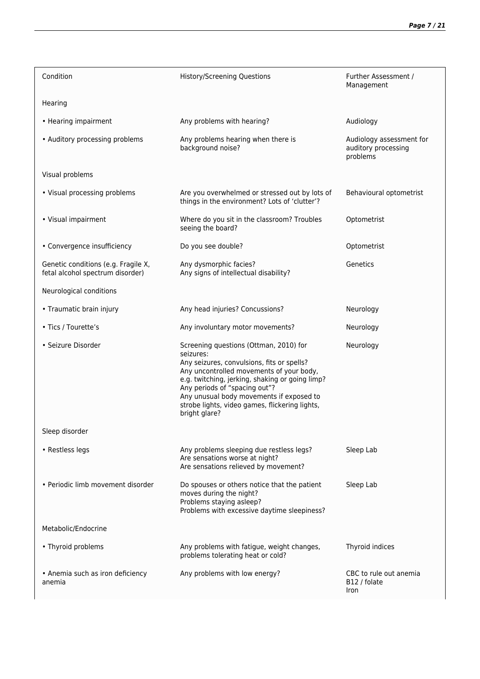| Condition                                                               | <b>History/Screening Questions</b>                                                                                                                                                                                                                                                                                                               | Further Assessment /<br>Management                          |
|-------------------------------------------------------------------------|--------------------------------------------------------------------------------------------------------------------------------------------------------------------------------------------------------------------------------------------------------------------------------------------------------------------------------------------------|-------------------------------------------------------------|
| Hearing                                                                 |                                                                                                                                                                                                                                                                                                                                                  |                                                             |
| • Hearing impairment                                                    | Any problems with hearing?                                                                                                                                                                                                                                                                                                                       | Audiology                                                   |
| • Auditory processing problems                                          | Any problems hearing when there is<br>background noise?                                                                                                                                                                                                                                                                                          | Audiology assessment for<br>auditory processing<br>problems |
| Visual problems                                                         |                                                                                                                                                                                                                                                                                                                                                  |                                                             |
| • Visual processing problems                                            | Are you overwhelmed or stressed out by lots of<br>things in the environment? Lots of 'clutter'?                                                                                                                                                                                                                                                  | Behavioural optometrist                                     |
| • Visual impairment                                                     | Where do you sit in the classroom? Troubles<br>seeing the board?                                                                                                                                                                                                                                                                                 | Optometrist                                                 |
| • Convergence insufficiency                                             | Do you see double?                                                                                                                                                                                                                                                                                                                               | Optometrist                                                 |
| Genetic conditions (e.g. Fragile X,<br>fetal alcohol spectrum disorder) | Any dysmorphic facies?<br>Any signs of intellectual disability?                                                                                                                                                                                                                                                                                  | Genetics                                                    |
| Neurological conditions                                                 |                                                                                                                                                                                                                                                                                                                                                  |                                                             |
| • Traumatic brain injury                                                | Any head injuries? Concussions?                                                                                                                                                                                                                                                                                                                  | Neurology                                                   |
| • Tics / Tourette's                                                     | Any involuntary motor movements?                                                                                                                                                                                                                                                                                                                 | Neurology                                                   |
| · Seizure Disorder                                                      | Screening questions (Ottman, 2010) for<br>seizures:<br>Any seizures, convulsions, fits or spells?<br>Any uncontrolled movements of your body,<br>e.g. twitching, jerking, shaking or going limp?<br>Any periods of "spacing out"?<br>Any unusual body movements if exposed to<br>strobe lights, video games, flickering lights,<br>bright glare? | Neurology                                                   |
| Sleep disorder                                                          |                                                                                                                                                                                                                                                                                                                                                  |                                                             |
| • Restless legs                                                         | Any problems sleeping due restless legs?<br>Are sensations worse at night?<br>Are sensations relieved by movement?                                                                                                                                                                                                                               | Sleep Lab                                                   |
| • Periodic limb movement disorder                                       | Do spouses or others notice that the patient<br>moves during the night?<br>Problems staying asleep?<br>Problems with excessive daytime sleepiness?                                                                                                                                                                                               | Sleep Lab                                                   |
| Metabolic/Endocrine                                                     |                                                                                                                                                                                                                                                                                                                                                  |                                                             |
| • Thyroid problems                                                      | Any problems with fatigue, weight changes,<br>problems tolerating heat or cold?                                                                                                                                                                                                                                                                  | Thyroid indices                                             |
| • Anemia such as iron deficiency<br>anemia                              | Any problems with low energy?                                                                                                                                                                                                                                                                                                                    | CBC to rule out anemia<br>B12 / folate<br>Iron              |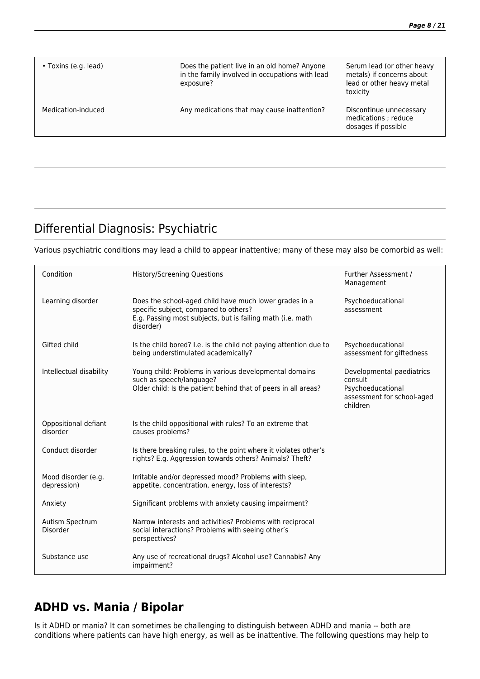| • Toxins (e.g. lead) | Does the patient live in an old home? Anyone<br>in the family involved in occupations with lead<br>exposure? | Serum lead (or other heavy<br>metals) if concerns about<br>lead or other heavy metal<br>toxicity |
|----------------------|--------------------------------------------------------------------------------------------------------------|--------------------------------------------------------------------------------------------------|
| Medication-induced   | Any medications that may cause inattention?                                                                  | Discontinue unnecessary<br>medications; reduce<br>dosages if possible                            |
|                      |                                                                                                              |                                                                                                  |

# Differential Diagnosis: Psychiatric

Various psychiatric conditions may lead a child to appear inattentive; many of these may also be comorbid as well:

| Condition                          | <b>History/Screening Questions</b>                                                                                                                                         | Further Assessment /<br>Management                                                                  |
|------------------------------------|----------------------------------------------------------------------------------------------------------------------------------------------------------------------------|-----------------------------------------------------------------------------------------------------|
| Learning disorder                  | Does the school-aged child have much lower grades in a<br>specific subject, compared to others?<br>E.g. Passing most subjects, but is failing math (i.e. math<br>disorder) | Psychoeducational<br>assessment                                                                     |
| Gifted child                       | Is the child bored? I.e. is the child not paying attention due to<br>being understimulated academically?                                                                   | Psychoeducational<br>assessment for giftedness                                                      |
| Intellectual disability            | Young child: Problems in various developmental domains<br>such as speech/language?<br>Older child: Is the patient behind that of peers in all areas?                       | Developmental paediatrics<br>consult<br>Psychoeducational<br>assessment for school-aged<br>children |
| Oppositional defiant<br>disorder   | Is the child oppositional with rules? To an extreme that<br>causes problems?                                                                                               |                                                                                                     |
| Conduct disorder                   | Is there breaking rules, to the point where it violates other's<br>rights? E.g. Aggression towards others? Animals? Theft?                                                 |                                                                                                     |
| Mood disorder (e.g.<br>depression) | Irritable and/or depressed mood? Problems with sleep,<br>appetite, concentration, energy, loss of interests?                                                               |                                                                                                     |
| Anxiety                            | Significant problems with anxiety causing impairment?                                                                                                                      |                                                                                                     |
| Autism Spectrum<br>Disorder        | Narrow interests and activities? Problems with reciprocal<br>social interactions? Problems with seeing other's<br>perspectives?                                            |                                                                                                     |
| Substance use                      | Any use of recreational drugs? Alcohol use? Cannabis? Any<br>impairment?                                                                                                   |                                                                                                     |

# **ADHD vs. Mania / Bipolar**

Is it ADHD or mania? It can sometimes be challenging to distinguish between ADHD and mania -- both are conditions where patients can have high energy, as well as be inattentive. The following questions may help to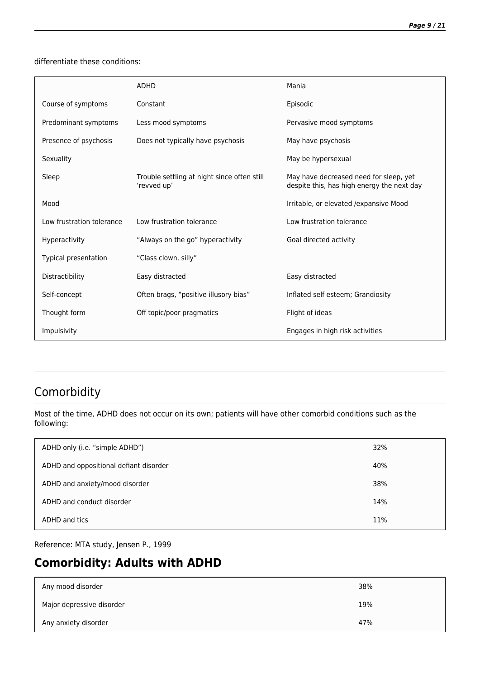differentiate these conditions:

|                           | <b>ADHD</b>                                                | Mania                                                                                |
|---------------------------|------------------------------------------------------------|--------------------------------------------------------------------------------------|
| Course of symptoms        | Constant                                                   | Episodic                                                                             |
| Predominant symptoms      | Less mood symptoms                                         | Pervasive mood symptoms                                                              |
| Presence of psychosis     | Does not typically have psychosis                          | May have psychosis                                                                   |
| Sexuality                 |                                                            | May be hypersexual                                                                   |
| Sleep                     | Trouble settling at night since often still<br>'revved up' | May have decreased need for sleep, yet<br>despite this, has high energy the next day |
| Mood                      |                                                            | Irritable, or elevated / expansive Mood                                              |
| Low frustration tolerance | Low frustration tolerance                                  | Low frustration tolerance                                                            |
| <b>Hyperactivity</b>      | "Always on the go" hyperactivity                           | Goal directed activity                                                               |
| Typical presentation      | "Class clown, silly"                                       |                                                                                      |
| Distractibility           | Easy distracted                                            | Easy distracted                                                                      |
| Self-concept              | Often brags, "positive illusory bias"                      | Inflated self esteem; Grandiosity                                                    |
| Thought form              | Off topic/poor pragmatics                                  | Flight of ideas                                                                      |
| Impulsivity               |                                                            | Engages in high risk activities                                                      |

# Comorbidity

Most of the time, ADHD does not occur on its own; patients will have other comorbid conditions such as the following:

| ADHD only (i.e. "simple ADHD")         | 32% |
|----------------------------------------|-----|
| ADHD and oppositional defiant disorder | 40% |
| ADHD and anxiety/mood disorder         | 38% |
| ADHD and conduct disorder              | 14% |
| ADHD and tics                          | 11% |

Reference: MTA study, Jensen P., 1999

# **Comorbidity: Adults with ADHD**

| Any mood disorder         | 38% |
|---------------------------|-----|
| Major depressive disorder | 19% |
| Any anxiety disorder      | 47% |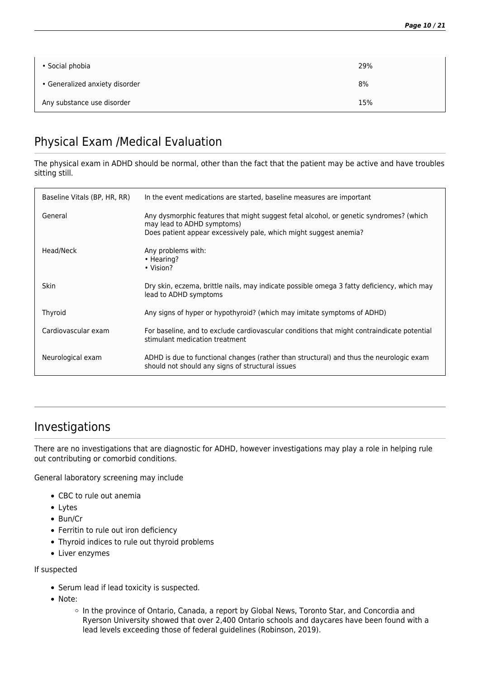| • Social phobia                | 29% |
|--------------------------------|-----|
| • Generalized anxiety disorder | 8%  |
| Any substance use disorder     | 15% |

# Physical Exam /Medical Evaluation

The physical exam in ADHD should be normal, other than the fact that the patient may be active and have troubles sitting still.

| Baseline Vitals (BP, HR, RR) | In the event medications are started, baseline measures are important                                                                                                                     |
|------------------------------|-------------------------------------------------------------------------------------------------------------------------------------------------------------------------------------------|
| General                      | Any dysmorphic features that might suggest fetal alcohol, or genetic syndromes? (which<br>may lead to ADHD symptoms)<br>Does patient appear excessively pale, which might suggest anemia? |
| Head/Neck                    | Any problems with:<br>• Hearing?<br>• Vision?                                                                                                                                             |
| <b>Skin</b>                  | Dry skin, eczema, brittle nails, may indicate possible omega 3 fatty deficiency, which may<br>lead to ADHD symptoms                                                                       |
| Thyroid                      | Any signs of hyper or hypothyroid? (which may imitate symptoms of ADHD)                                                                                                                   |
| Cardiovascular exam          | For baseline, and to exclude cardiovascular conditions that might contraindicate potential<br>stimulant medication treatment                                                              |
| Neurological exam            | ADHD is due to functional changes (rather than structural) and thus the neurologic exam<br>should not should any signs of structural issues                                               |

#### Investigations

There are no investigations that are diagnostic for ADHD, however investigations may play a role in helping rule out contributing or comorbid conditions.

General laboratory screening may include

- CBC to rule out anemia
- Lytes
- Bun/Cr
- Ferritin to rule out iron deficiency
- Thyroid indices to rule out thyroid problems
- Liver enzymes

If suspected

- Serum lead if lead toxicity is suspected.
- Note:
	- o In the province of Ontario, Canada, a report by Global News, Toronto Star, and Concordia and Ryerson University showed that over 2,400 Ontario schools and daycares have been found with a lead levels exceeding those of federal guidelines (Robinson, 2019).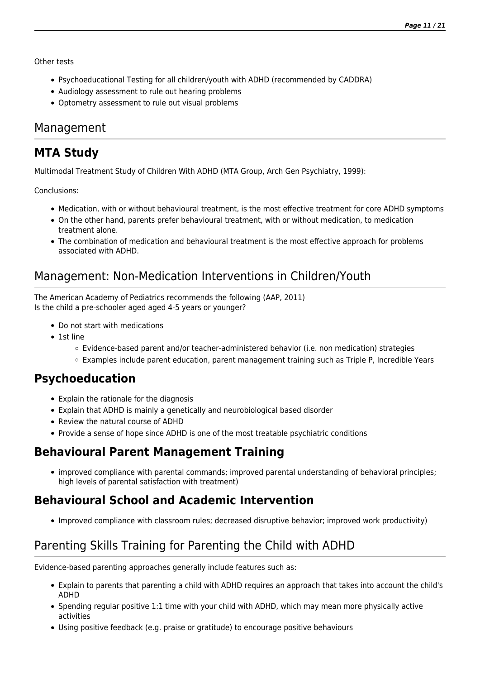Other tests

- Psychoeducational Testing for all children/youth with ADHD (recommended by CADDRA)
- Audiology assessment to rule out hearing problems
- Optometry assessment to rule out visual problems

#### Management

# **MTA Study**

Multimodal Treatment Study of Children With ADHD (MTA Group, Arch Gen Psychiatry, 1999):

Conclusions:

- Medication, with or without behavioural treatment, is the most effective treatment for core ADHD symptoms
- On the other hand, parents prefer behavioural treatment, with or without medication, to medication treatment alone.
- The combination of medication and behavioural treatment is the most effective approach for problems associated with ADHD.

# Management: Non-Medication Interventions in Children/Youth

The American Academy of Pediatrics recommends the following (AAP, 2011) Is the child a pre-schooler aged aged 4-5 years or younger?

- Do not start with medications
- 1st line
	- Evidence-based parent and/or teacher-administered behavior (i.e. non medication) strategies
	- Examples include parent education, parent management training such as Triple P, Incredible Years

#### **Psychoeducation**

- Explain the rationale for the diagnosis
- Explain that ADHD is mainly a genetically and neurobiological based disorder
- Review the natural course of ADHD
- Provide a sense of hope since ADHD is one of the most treatable psychiatric conditions

# **Behavioural Parent Management Training**

improved compliance with parental commands; improved parental understanding of behavioral principles; high levels of parental satisfaction with treatment)

# **Behavioural School and Academic Intervention**

Improved compliance with classroom rules; decreased disruptive behavior; improved work productivity)

# Parenting Skills Training for Parenting the Child with ADHD

Evidence-based parenting approaches generally include features such as:

- Explain to parents that parenting a child with ADHD requires an approach that takes into account the child's ADHD
- Spending regular positive 1:1 time with your child with ADHD, which may mean more physically active activities
- Using positive feedback (e.g. praise or gratitude) to encourage positive behaviours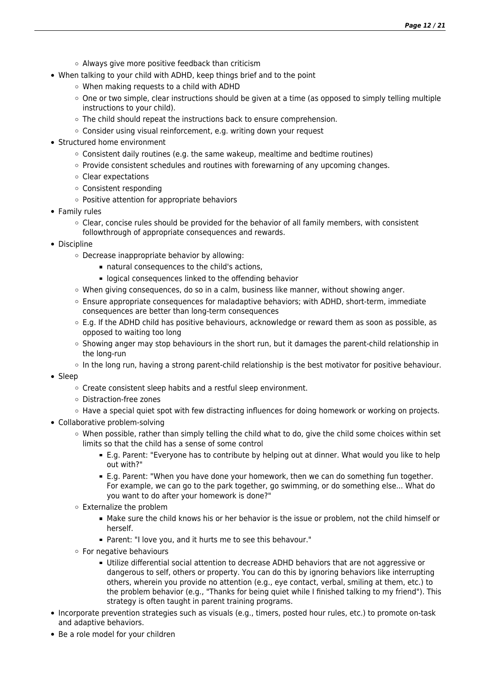- $\circ$  Always give more positive feedback than criticism
- When talking to your child with ADHD, keep things brief and to the point
	- When making requests to a child with ADHD
	- One or two simple, clear instructions should be given at a time (as opposed to simply telling multiple instructions to your child).
	- The child should repeat the instructions back to ensure comprehension.
	- Consider using visual reinforcement, e.g. writing down your request
- Structured home environment
	- Consistent daily routines (e.g. the same wakeup, mealtime and bedtime routines)
	- $\circ$  Provide consistent schedules and routines with forewarning of any upcoming changes.
	- Clear expectations
	- Consistent responding
	- Positive attention for appropriate behaviors
- Family rules
	- $\circ$  Clear, concise rules should be provided for the behavior of all family members, with consistent followthrough of appropriate consequences and rewards.
- Discipline
	- Decrease inappropriate behavior by allowing:
		- natural consequences to the child's actions,
		- **Democration** logical consequences linked to the offending behavior
	- $\circ$  When giving consequences, do so in a calm, business like manner, without showing anger.
	- $\circ$  Ensure appropriate consequences for maladaptive behaviors; with ADHD, short-term, immediate consequences are better than long-term consequences
	- E.g. If the ADHD child has positive behaviours, acknowledge or reward them as soon as possible, as opposed to waiting too long
	- $\circ$  Showing anger may stop behaviours in the short run, but it damages the parent-child relationship in the long-run
	- In the long run, having a strong parent-child relationship is the best motivator for positive behaviour.
- Sleep
	- Create consistent sleep habits and a restful sleep environment.
	- Distraction-free zones
	- $\circ$  Have a special quiet spot with few distracting influences for doing homework or working on projects.
- Collaborative problem-solving
	- When possible, rather than simply telling the child what to do, give the child some choices within set limits so that the child has a sense of some control
		- E.g. Parent: "Everyone has to contribute by helping out at dinner. What would you like to help out with?"
		- E.g. Parent: "When you have done your homework, then we can do something fun together. For example, we can go to the park together, go swimming, or do something else... What do you want to do after your homework is done?"
	- Externalize the problem
		- Make sure the child knows his or her behavior is the issue or problem, not the child himself or herself.
		- Parent: "I love you, and it hurts me to see this behavour."
	- For negative behaviours
		- Utilize differential social attention to decrease ADHD behaviors that are not aggressive or dangerous to self, others or property. You can do this by ignoring behaviors like interrupting others, wherein you provide no attention (e.g., eye contact, verbal, smiling at them, etc.) to the problem behavior (e.g., "Thanks for being quiet while I finished talking to my friend"). This strategy is often taught in parent training programs.
- Incorporate prevention strategies such as visuals (e.g., timers, posted hour rules, etc.) to promote on-task and adaptive behaviors.
- Be a role model for your children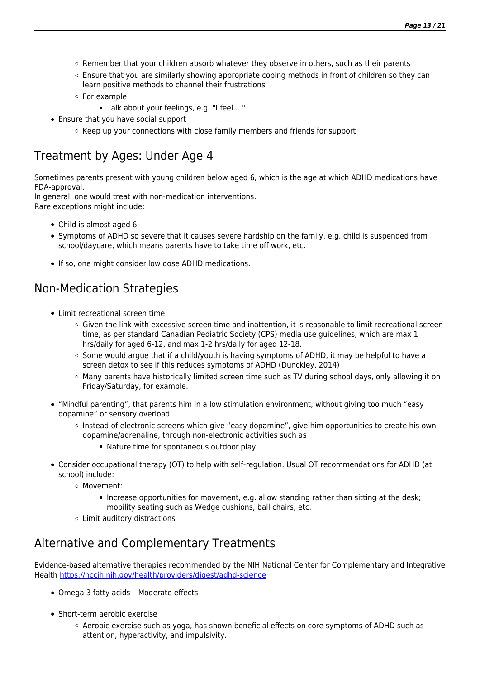- $\circ$  Remember that your children absorb whatever they observe in others, such as their parents
- Ensure that you are similarly showing appropriate coping methods in front of children so they can learn positive methods to channel their frustrations
- For example
	- Talk about your feelings, e.g. "I feel... "
- Ensure that you have social support
	- $\circ$  Keep up your connections with close family members and friends for support

# Treatment by Ages: Under Age 4

Sometimes parents present with young children below aged 6, which is the age at which ADHD medications have FDA-approval.

In general, one would treat with non-medication interventions. Rare exceptions might include:

- Child is almost aged 6
- Symptoms of ADHD so severe that it causes severe hardship on the family, e.g. child is suspended from school/daycare, which means parents have to take time off work, etc.
- If so, one might consider low dose ADHD medications.

# Non-Medication Strategies

- Limit recreational screen time
	- $\circ$  Given the link with excessive screen time and inattention, it is reasonable to limit recreational screen time, as per standard Canadian Pediatric Society (CPS) media use guidelines, which are max 1 hrs/daily for aged 6-12, and max 1-2 hrs/daily for aged 12-18.
	- $\circ$  Some would argue that if a child/youth is having symptoms of ADHD, it may be helpful to have a screen detox to see if this reduces symptoms of ADHD (Dunckley, 2014)
	- Many parents have historically limited screen time such as TV during school days, only allowing it on Friday/Saturday, for example.
- "Mindful parenting", that parents him in a low stimulation environment, without giving too much "easy dopamine" or sensory overload
	- $\circ$  Instead of electronic screens which give "easy dopamine", give him opportunities to create his own dopamine/adrenaline, through non-electronic activities such as
		- Nature time for spontaneous outdoor play
- Consider occupational therapy (OT) to help with self-regulation. Usual OT recommendations for ADHD (at school) include:
	- Movement:
		- Increase opportunities for movement, e.g. allow standing rather than sitting at the desk; mobility seating such as Wedge cushions, ball chairs, etc.
	- Limit auditory distractions

# Alternative and Complementary Treatments

Evidence-based alternative therapies recommended by the NIH National Center for Complementary and Integrative Health<https://nccih.nih.gov/health/providers/digest/adhd-science>

- Omega 3 fatty acids Moderate effects
- Short-term aerobic exercise
	- $\circ$  Aerobic exercise such as yoga, has shown beneficial effects on core symptoms of ADHD such as attention, hyperactivity, and impulsivity.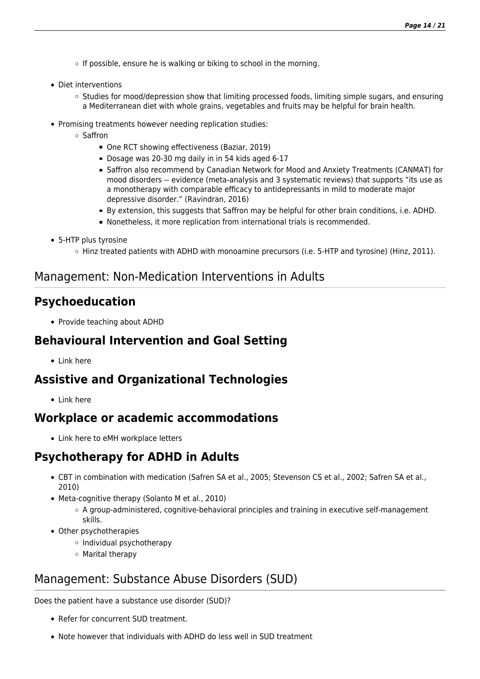- $\circ$  If possible, ensure he is walking or biking to school in the morning.
- Diet interventions
	- $\circ$  Studies for mood/depression show that limiting processed foods, limiting simple sugars, and ensuring a Mediterranean diet with whole grains, vegetables and fruits may be helpful for brain health.
- Promising treatments however needing replication studies:
	- Saffron
		- One RCT showing effectiveness (Baziar, 2019)
		- Dosage was 20-30 mg daily in in 54 kids aged 6-17
		- **Saffron also recommend by Canadian Network for Mood and Anxiety Treatments (CANMAT) for** mood disorders -- evidence (meta-analysis and 3 systematic reviews) that supports "its use as a monotherapy with comparable efficacy to antidepressants in mild to moderate major depressive disorder." (Ravindran, 2016)
		- By extension, this suggests that Saffron may be helpful for other brain conditions, i.e. ADHD.
		- Nonetheless, it more replication from international trials is recommended.
- 5-HTP plus tyrosine
	- $\circ$  Hinz treated patients with ADHD with monoamine precursors (i.e. 5-HTP and tyrosine) (Hinz, 2011).

#### Management: Non-Medication Interventions in Adults

#### **Psychoeducation**

• Provide teaching about ADHD

#### **Behavioural Intervention and Goal Setting**

 $\bullet$  Link here

#### **Assistive and Organizational Technologies**

• Link here

#### **Workplace or academic accommodations**

Link here to eMH workplace letters

# **Psychotherapy for ADHD in Adults**

- CBT in combination with medication (Safren SA et al., 2005; Stevenson CS et al., 2002; Safren SA et al., 2010)
- Meta-cognitive therapy (Solanto M et al., 2010)
	- A group-administered, cognitive-behavioral principles and training in executive self-management skills.
- Other psychotherapies
	- Individual psychotherapy
	- Marital therapy

#### Management: Substance Abuse Disorders (SUD)

Does the patient have a substance use disorder (SUD)?

- Refer for concurrent SUD treatment.
- Note however that individuals with ADHD do less well in SUD treatment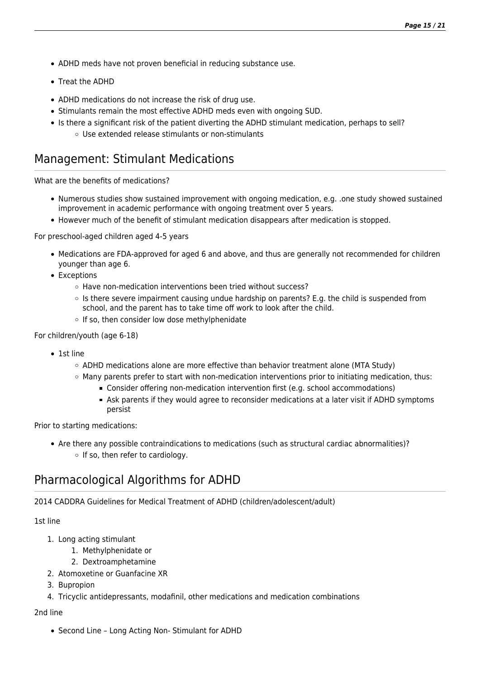- ADHD meds have not proven beneficial in reducing substance use.
- Treat the ADHD
- ADHD medications do not increase the risk of drug use.
- Stimulants remain the most effective ADHD meds even with ongoing SUD.
- Is there a significant risk of the patient diverting the ADHD stimulant medication, perhaps to sell?
	- Use extended release stimulants or non-stimulants

#### Management: Stimulant Medications

What are the benefits of medications?

- Numerous studies show sustained improvement with ongoing medication, e.g. .one study showed sustained improvement in academic performance with ongoing treatment over 5 years.
- However much of the benefit of stimulant medication disappears after medication is stopped.

For preschool-aged children aged 4-5 years

- Medications are FDA-approved for aged 6 and above, and thus are generally not recommended for children younger than age 6.
- Exceptions
	- Have non-medication interventions been tried without success?
	- $\circ$  Is there severe impairment causing undue hardship on parents? E.g. the child is suspended from school, and the parent has to take time off work to look after the child.
	- o If so, then consider low dose methylphenidate

For children/youth (age 6-18)

- 1st line
	- $\circ$  ADHD medications alone are more effective than behavior treatment alone (MTA Study)
	- $\circ$  Many parents prefer to start with non-medication interventions prior to initiating medication, thus:
		- Consider offering non-medication intervention first (e.g. school accommodations)
		- Ask parents if they would agree to reconsider medications at a later visit if ADHD symptoms persist

Prior to starting medications:

Are there any possible contraindications to medications (such as structural cardiac abnormalities)? o If so, then refer to cardiology.

# Pharmacological 
Algorithms for ADHD

2014 CADDRA Guidelines 
for Medical Treatment of ADHD (children/adolescent/adult)

1st line

- 1. Long acting stimulant
	- 1. Methylphenidate or
	- 2. Dextroamphetamine
- 2. Atomoxetine or Guanfacine XR
- 3. Bupropion
- 4. Tricyclic antidepressants, modafinil, other medications and medication combinations

2nd line

• Second Line - Long Acting Non- Stimulant for ADHD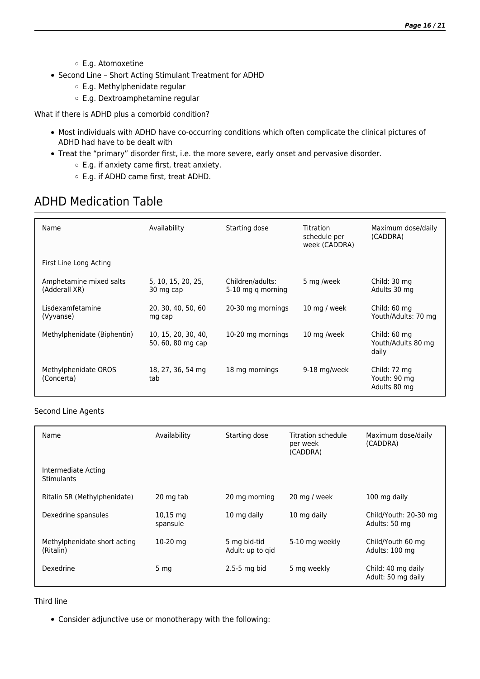- E.g. Atomoxetine
- Second Line Short Acting Stimulant Treatment for ADHD
	- E.g. Methylphenidate regular
	- E.g. Dextroamphetamine regular

What if there is ADHD plus a comorbid condition?

- Most individuals with ADHD have co-occurring conditions which often complicate the clinical pictures of ADHD had have to be dealt with
- Treat the "primary" disorder first, i.e. the more severe, early onset and pervasive disorder.
	- E.g. if anxiety came first, treat anxiety.
	- E.g. if ADHD came first, treat ADHD.

# ADHD Medication Table

| Name                                     | Availability                             | Starting dose                         | Titration<br>schedule per<br>week (CADDRA) | Maximum dose/daily<br>(CADDRA)               |
|------------------------------------------|------------------------------------------|---------------------------------------|--------------------------------------------|----------------------------------------------|
| First Line Long Acting                   |                                          |                                       |                                            |                                              |
| Amphetamine mixed salts<br>(Adderall XR) | 5, 10, 15, 20, 25,<br>30 mg cap          | Children/adults:<br>5-10 mg q morning | 5 mg /week                                 | Child: 30 mg<br>Adults 30 mg                 |
| Lisdexamfetamine<br>(Vyvanse)            | 20, 30, 40, 50, 60<br>mg cap             | 20-30 mg mornings                     | 10 mg / week                               | Child: 60 mg<br>Youth/Adults: 70 mg          |
| Methylphenidate (Biphentin)              | 10, 15, 20, 30, 40,<br>50, 60, 80 mg cap | 10-20 mg mornings                     | 10 mg /week                                | Child: 60 mg<br>Youth/Adults 80 mg<br>daily  |
| Methylphenidate OROS<br>(Concerta)       | 18, 27, 36, 54 mg<br>tab                 | 18 mg mornings                        | 9-18 mg/week                               | Child: 72 mg<br>Youth: 90 mg<br>Adults 80 mg |

#### Second Line Agents

| Name                                      | Availability                     | Starting dose                    | Titration schedule<br>per week<br>(CADDRA) | Maximum dose/daily<br>(CADDRA)           |
|-------------------------------------------|----------------------------------|----------------------------------|--------------------------------------------|------------------------------------------|
| Intermediate Acting<br><b>Stimulants</b>  |                                  |                                  |                                            |                                          |
| Ritalin SR (Methylphenidate)              | 20 mg tab                        | 20 mg morning                    | 20 mg / week                               | 100 mg daily                             |
| Dexedrine spansules                       | $10,15 \, \text{mg}$<br>spansule | 10 mg daily                      | 10 mg daily                                | Child/Youth: 20-30 mg<br>Adults: 50 mg   |
| Methylphenidate short acting<br>(Ritalin) | $10-20$ mg                       | 5 mg bid-tid<br>Adult: up to gid | 5-10 mg weekly                             | Child/Youth 60 mg<br>Adults: 100 mg      |
| Dexedrine                                 | 5 <sub>mg</sub>                  | $2.5 - 5$ mg bid                 | 5 mg weekly                                | Child: 40 mg daily<br>Adult: 50 mg daily |

Third line

Consider adjunctive use or monotherapy with the following: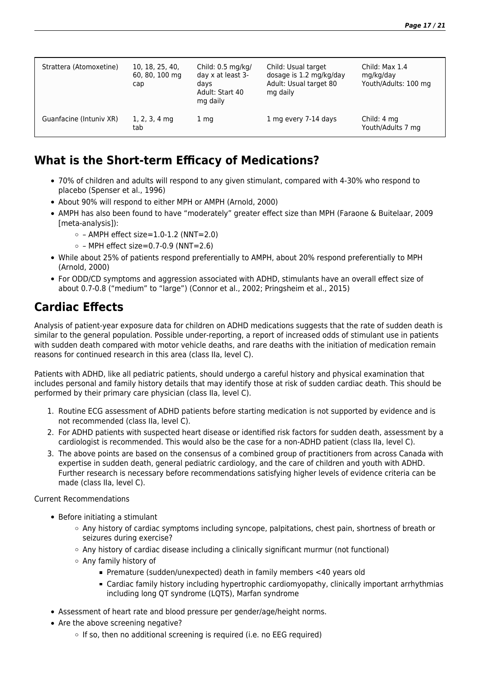| Strattera (Atomoxetine) | 10, 18, 25, 40,<br>60, 80, 100 mg<br>cap | Child: $0.5 \text{ mg/kg}$<br>day x at least 3-<br>davs<br>Adult: Start 40<br>mg daily | Child: Usual target<br>dosage is 1.2 mg/kg/day<br>Adult: Usual target 80<br>mg daily | Child: Max 1.4<br>mg/kg/day<br>Youth/Adults: 100 mg |
|-------------------------|------------------------------------------|----------------------------------------------------------------------------------------|--------------------------------------------------------------------------------------|-----------------------------------------------------|
| Guanfacine (Intuniv XR) | $1, 2, 3, 4$ mg<br>tab                   | 1 mg                                                                                   | 1 mg every 7-14 days                                                                 | Child: 4 mg<br>Youth/Adults 7 mg                    |

#### **What is the Short-term Efficacy of Medications?**

- 70% of children and adults will respond to any given stimulant, compared with 4-30% who respond to placebo (Spenser et al., 1996)
- About 90% will respond to either MPH or AMPH (Arnold, 2000)
- AMPH has also been found to have "moderately" greater effect size than MPH (Faraone & Buitelaar, 2009 [meta-analysis]):
	- $\circ$  AMPH effect size=1.0-1.2 (NNT=2.0)
	- $\circ$  MPH effect size=0.7-0.9 (NNT=2.6)
- While about 25% of patients respond preferentially to AMPH, about 20% respond preferentially to MPH (Arnold, 2000)
- For ODD/CD symptoms and aggression associated with ADHD, stimulants have an overall effect size of about 0.7-0.8 ("medium" to "large") (Connor et al., 2002; Pringsheim et al., 2015)

#### **Cardiac Effects**

Analysis of patient-year exposure data for children on ADHD medications suggests that the rate of sudden death is similar to the general population. Possible under-reporting, a report of increased odds of stimulant use in patients with sudden death compared with motor vehicle deaths, and rare deaths with the initiation of medication remain reasons for continued research in this area (class IIa, level C).

Patients with ADHD, like all pediatric patients, should undergo a careful history and physical examination that includes personal and family history details that may identify those at risk of sudden cardiac death. This should be performed by their primary care physician (class IIa, level C).

- 1. Routine ECG assessment of ADHD patients before starting medication is not supported by evidence and is not recommended (class IIa, level C).
- 2. For ADHD patients with suspected heart disease or identified risk factors for sudden death, assessment by a cardiologist is recommended. This would also be the case for a non-ADHD patient (class IIa, level C).
- 3. The above points are based on the consensus of a combined group of practitioners from across Canada with expertise in sudden death, general pediatric cardiology, and the care of children and youth with ADHD. Further research is necessary before recommendations satisfying higher levels of evidence criteria can be made (class IIa, level C).

Current Recommendations

- Before initiating a stimulant
	- Any history of cardiac symptoms including syncope, palpitations, chest pain, shortness of breath or seizures during exercise?
	- Any history of cardiac disease including a clinically significant murmur (not functional)
	- Any family history of
		- Premature (sudden/unexpected) death in family members <40 years old
		- Cardiac family history including hypertrophic cardiomyopathy, clinically important arrhythmias including long QT syndrome (LQTS), Marfan syndrome
- Assessment of heart rate and blood pressure per gender/age/height norms.
- Are the above screening negative?
	- $\circ$  If so, then no additional screening is required (i.e. no EEG required)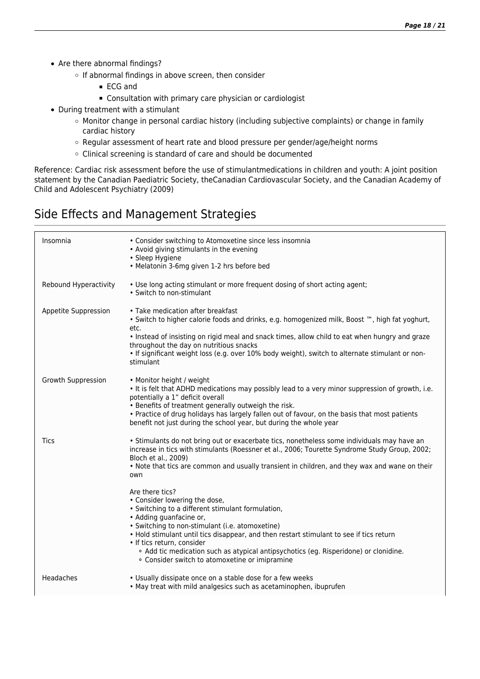- Are there abnormal findings?
	- o If abnormal findings in above screen, then consider
		- ECG and
		- Consultation with primary care physician or cardiologist
- During treatment with a stimulant
	- Monitor change in personal cardiac history (including subjective complaints) or change in family cardiac history
	- Regular assessment of heart rate and blood pressure per gender/age/height norms
	- Clinical screening is standard of care and should be documented

Reference: Cardiac risk assessment before the use of stimulant
medications in children and youth: A joint position statement by the Canadian Paediatric Society, the
Canadian Cardiovascular Society, and the Canadian 
Academy of Child and Adolescent Psychiatry (2009)

#### Side Effects and Management Strategies

| Insomnia              | • Consider switching to Atomoxetine since less insomnia<br>• Avoid giving stimulants in the evening<br>• Sleep Hygiene<br>• Melatonin 3-6mg given 1-2 hrs before bed                                                                                                                                                                                                                                                                                   |
|-----------------------|--------------------------------------------------------------------------------------------------------------------------------------------------------------------------------------------------------------------------------------------------------------------------------------------------------------------------------------------------------------------------------------------------------------------------------------------------------|
| Rebound Hyperactivity | . Use long acting stimulant or more frequent dosing of short acting agent;<br>• Switch to non-stimulant                                                                                                                                                                                                                                                                                                                                                |
| Appetite Suppression  | • Take medication after breakfast<br>. Switch to higher calorie foods and drinks, e.g. homogenized milk, Boost ™, high fat yoghurt,<br>etc.<br>. Instead of insisting on rigid meal and snack times, allow child to eat when hungry and graze<br>throughout the day on nutritious snacks<br>. If significant weight loss (e.g. over 10% body weight), switch to alternate stimulant or non-<br>stimulant                                               |
| Growth Suppression    | • Monitor height / weight<br>. It is felt that ADHD medications may possibly lead to a very minor suppression of growth, i.e.<br>potentially a 1" deficit overall<br>• Benefits of treatment generally outweigh the risk.<br>. Practice of drug holidays has largely fallen out of favour, on the basis that most patients<br>benefit not just during the school year, but during the whole year                                                       |
| Tics                  | • Stimulants do not bring out or exacerbate tics, nonetheless some individuals may have an<br>increase in tics with stimulants (Roessner et al., 2006; Tourette Syndrome Study Group, 2002;<br>Bloch et al., 2009)<br>. Note that tics are common and usually transient in children, and they wax and wane on their<br>own                                                                                                                             |
|                       | Are there tics?<br>• Consider lowering the dose,<br>• Switching to a different stimulant formulation,<br>• Adding guanfacine or,<br>• Switching to non-stimulant (i.e. atomoxetine)<br>. Hold stimulant until tics disappear, and then restart stimulant to see if tics return<br>· If tics return, consider<br>• Add tic medication such as atypical antipsychotics (eg. Risperidone) or clonidine.<br>• Consider switch to atomoxetine or imipramine |
| Headaches             | • Usually dissipate once on a stable dose for a few weeks<br>• May treat with mild analgesics such as acetaminophen, ibuprufen                                                                                                                                                                                                                                                                                                                         |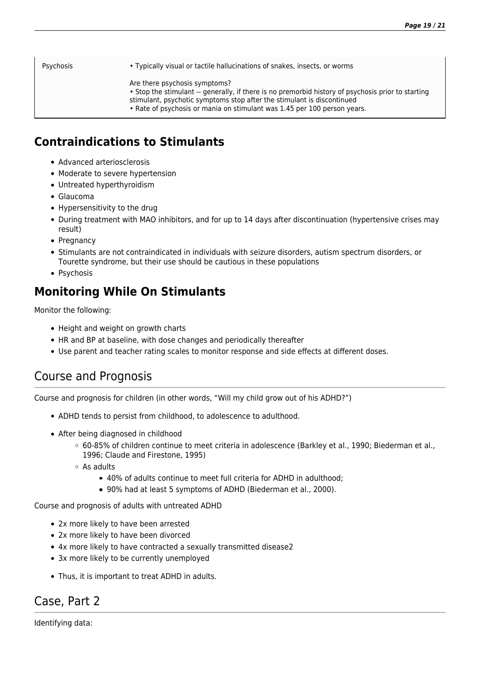Psychosis • Typically visual or tactile hallucinations of snakes, insects, or worms

- Are there psychosis symptoms?
- Stop the stimulant -- generally, if there is no premorbid history of psychosis prior to starting
- stimulant, psychotic symptoms stop after the stimulant is discontinued
- Rate of psychosis or mania on stimulant was 1.45 per 100 person years.

# **Contraindications to Stimulants**

- Advanced arteriosclerosis
- Moderate to severe hypertension
- Untreated hyperthyroidism
- Glaucoma
- Hypersensitivity to the drug
- During treatment with MAO inhibitors, and for up to 14 days after discontinuation (hypertensive crises may result)
- Pregnancy
- Stimulants are not contraindicated in individuals with seizure disorders, autism spectrum disorders, or Tourette syndrome, but their use should be cautious in these populations
- Psychosis

# **Monitoring While On Stimulants**

Monitor the following:

- Height and weight on growth charts
- HR and BP at baseline, with dose changes and periodically thereafter
- Use parent and teacher rating scales to monitor response and side effects at different doses.

# Course and Prognosis

Course and prognosis for children (in other words, "Will my child grow out of his ADHD?")

- ADHD tends to persist from childhood, to adolescence to adulthood.
- After being diagnosed in childhood
	- 60-85% of children continue to meet criteria in adolescence (Barkley et al., 1990; Biederman et al., 1996; Claude and Firestone, 1995)
	- As adults
		- 40% of adults continue to meet full criteria for ADHD in adulthood:
		- 90% had at least 5 symptoms of ADHD (Biederman et al., 2000).

Course and prognosis of adults with untreated ADHD

- 2x more likely to have been arrested
- 2x more likely to have been divorced
- 4x more likely to have contracted a sexually transmitted disease2
- 3x more likely to be currently unemployed
- Thus, it is important to treat ADHD in adults.

# Case, Part 2

Identifying data: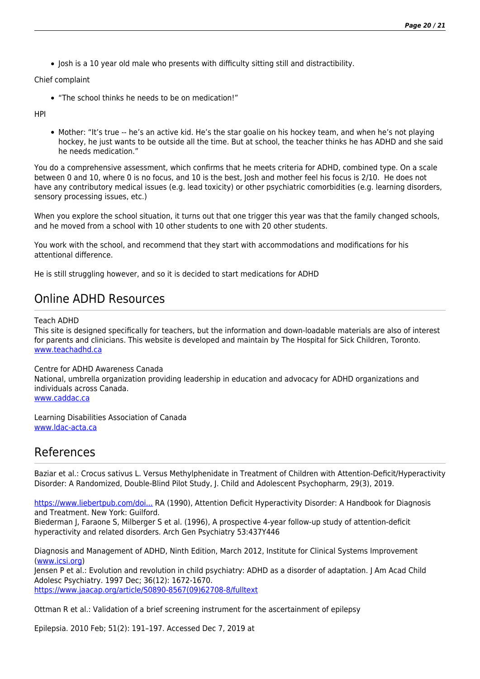• Josh is a 10 year old male who presents with difficulty sitting still and distractibility.

Chief complaint

"The school thinks he needs to be on medication!"

HPI

Mother: "It's true -- he's an active kid. He's the star goalie on his hockey team, and when he's not playing hockey, he just wants to be outside all the time. But at school, the teacher thinks he has ADHD and she said he needs medication."

You do a comprehensive assessment, which confirms that he meets criteria for ADHD, combined type. On a scale between 0 and 10, where 0 is no focus, and 10 is the best, Josh and mother feel his focus is 2/10. He does not have any contributory medical issues (e.g. lead toxicity) or other psychiatric comorbidities (e.g. learning disorders, sensory processing issues, etc.)

When you explore the school situation, it turns out that one trigger this year was that the family changed schools, and he moved from a school with 10 other students to one with 20 other students.

You work with the school, and recommend that they start with accommodations and modifications for his attentional difference.

He is still struggling however, and so it is decided to start medications for ADHD

#### Online ADHD Resources

Teach ADHD

This site is designed specifically for teachers, but the information and down-loadable materials are also of interest for parents and clinicians. This website is developed and maintain by The Hospital for Sick Children, Toronto. [www.teachadhd.ca](http://www.teachadhd.ca)

Centre for ADHD Awareness Canada

National, umbrella organization providing leadership in education and advocacy for ADHD organizations and individuals across Canada.

[www.caddac.ca](http://www.caddac.ca)

Learning Disabilities Association of Canada [www.ldac-acta.ca](http://www.ldac-acta.ca)

#### References

Baziar et al.: Crocus sativus L. Versus Methylphenidate in Treatment of Children with Attention-Deficit/Hyperactivity Disorder: A Randomized, Double-Blind Pilot Study, J. Child and Adolescent Psychopharm, 29(3), 2019.

[https://www.liebertpub.com/doi...](https://www.liebertpub.com/doi/full/10.1089/cap.2018.0146/ppBarkley) RA (1990), Attention Deficit Hyperactivity Disorder: A Handbook for Diagnosis and Treatment. New York: Guilford.

Biederman J, Faraone S, Milberger S et al. (1996), A prospective 4-year follow-up study of attention-deficit hyperactivity and related disorders. Arch Gen Psychiatry 53:437Y446

Diagnosis and Management of ADHD, Ninth Edition, March 2012, Institute for Clinical Systems Improvement ([www.icsi.org\)](http://www.icsi.org)

Jensen P et al.: Evolution and revolution in child psychiatry: ADHD as a disorder of adaptation. J Am Acad Child Adolesc Psychiatry. 1997 Dec; 36(12): 1672-1670.

[https://www.jaacap.org/article/S0890-8567\(09\)62708-8/fulltext](https://www.jaacap.org/article/S0890-8567(09)62708-8/fulltext)

Ottman R et al.: Validation of a brief screening instrument for the ascertainment of epilepsy

Epilepsia. 2010 Feb; 51(2): 191–197. Accessed Dec 7, 2019 at